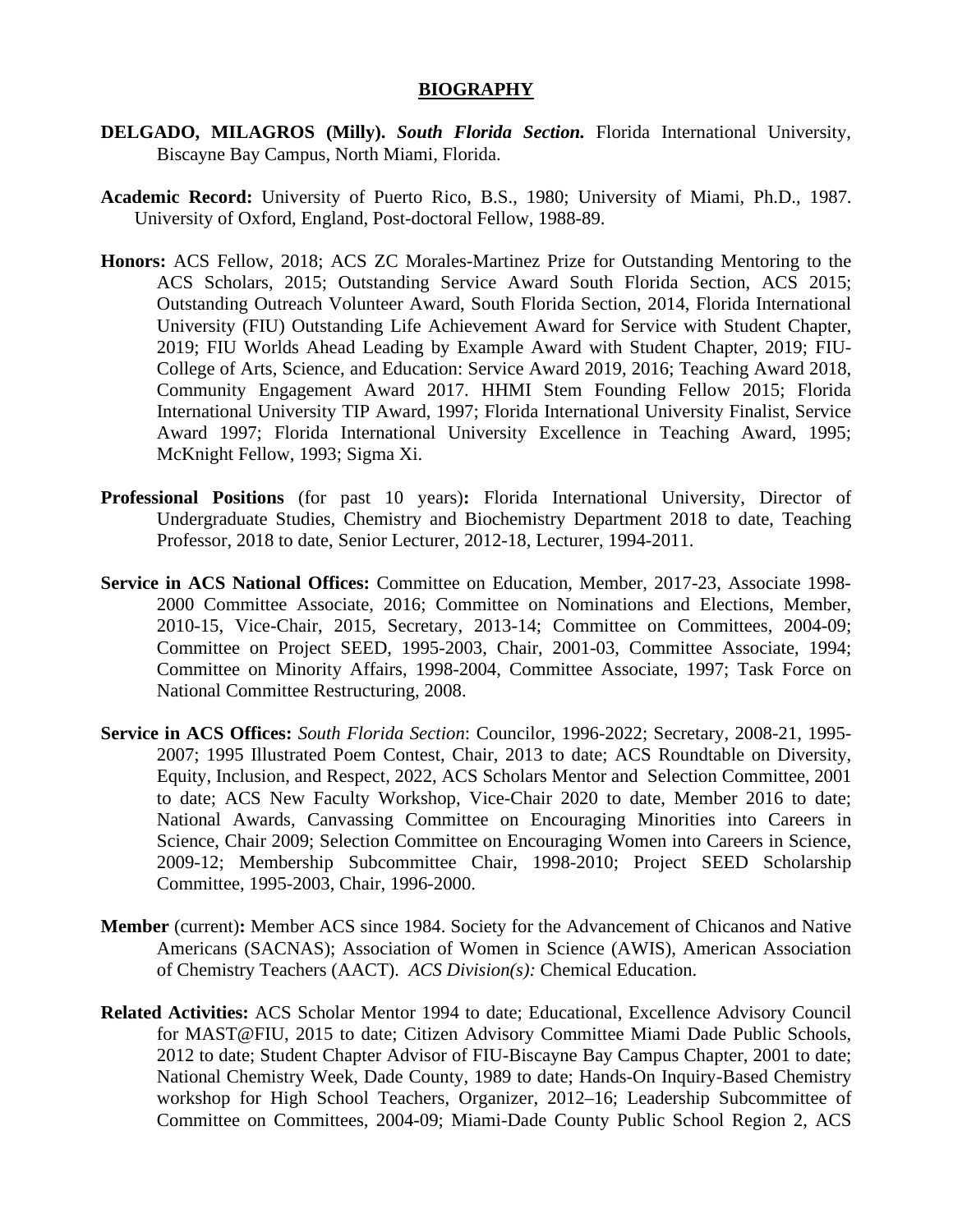## **BIOGRAPHY**

- **DELGADO, MILAGROS (Milly).** *South Florida Section.* Florida International University, Biscayne Bay Campus, North Miami, Florida.
- **Academic Record:** University of Puerto Rico, B.S., 1980; University of Miami, Ph.D., 1987. University of Oxford, England, Post-doctoral Fellow, 1988-89.
- **Honors:** ACS Fellow, 2018; ACS ZC Morales-Martinez Prize for Outstanding Mentoring to the ACS Scholars, 2015; Outstanding Service Award South Florida Section, ACS 2015; Outstanding Outreach Volunteer Award, South Florida Section, 2014, Florida International University (FIU) Outstanding Life Achievement Award for Service with Student Chapter, 2019; FIU Worlds Ahead Leading by Example Award with Student Chapter, 2019; FIU-College of Arts, Science, and Education: Service Award 2019, 2016; Teaching Award 2018, Community Engagement Award 2017. HHMI Stem Founding Fellow 2015; Florida International University TIP Award, 1997; Florida International University Finalist, Service Award 1997; Florida International University Excellence in Teaching Award, 1995; McKnight Fellow, 1993; Sigma Xi.
- **Professional Positions** (for past 10 years)**:** Florida International University, Director of Undergraduate Studies, Chemistry and Biochemistry Department 2018 to date, Teaching Professor, 2018 to date, Senior Lecturer, 2012-18, Lecturer, 1994-2011.
- **Service in ACS National Offices:** Committee on Education, Member, 2017-23, Associate 1998- 2000 Committee Associate, 2016; Committee on Nominations and Elections, Member, 2010-15, Vice-Chair, 2015, Secretary, 2013-14; Committee on Committees, 2004-09; Committee on Project SEED, 1995-2003, Chair, 2001-03, Committee Associate, 1994; Committee on Minority Affairs, 1998-2004, Committee Associate, 1997; Task Force on National Committee Restructuring, 2008.
- **Service in ACS Offices:** *South Florida Section*: Councilor, 1996-2022; Secretary, 2008-21, 1995- 2007; 1995 Illustrated Poem Contest, Chair, 2013 to date; ACS Roundtable on Diversity, Equity, Inclusion, and Respect, 2022, ACS Scholars Mentor and Selection Committee, 2001 to date; ACS New Faculty Workshop, Vice-Chair 2020 to date, Member 2016 to date; National Awards, Canvassing Committee on Encouraging Minorities into Careers in Science, Chair 2009; Selection Committee on Encouraging Women into Careers in Science, 2009-12; Membership Subcommittee Chair, 1998-2010; Project SEED Scholarship Committee, 1995-2003, Chair, 1996-2000.
- **Member** (current)**:** Member ACS since 1984. Society for the Advancement of Chicanos and Native Americans (SACNAS); Association of Women in Science (AWIS), American Association of Chemistry Teachers (AACT). *ACS Division(s):* Chemical Education.
- **Related Activities:** ACS Scholar Mentor 1994 to date; Educational, Excellence Advisory Council for MAST@FIU, 2015 to date; Citizen Advisory Committee Miami Dade Public Schools, 2012 to date; Student Chapter Advisor of FIU-Biscayne Bay Campus Chapter, 2001 to date; National Chemistry Week, Dade County, 1989 to date; Hands-On Inquiry-Based Chemistry workshop for High School Teachers, Organizer, 2012–16; Leadership Subcommittee of Committee on Committees, 2004-09; Miami-Dade County Public School Region 2, ACS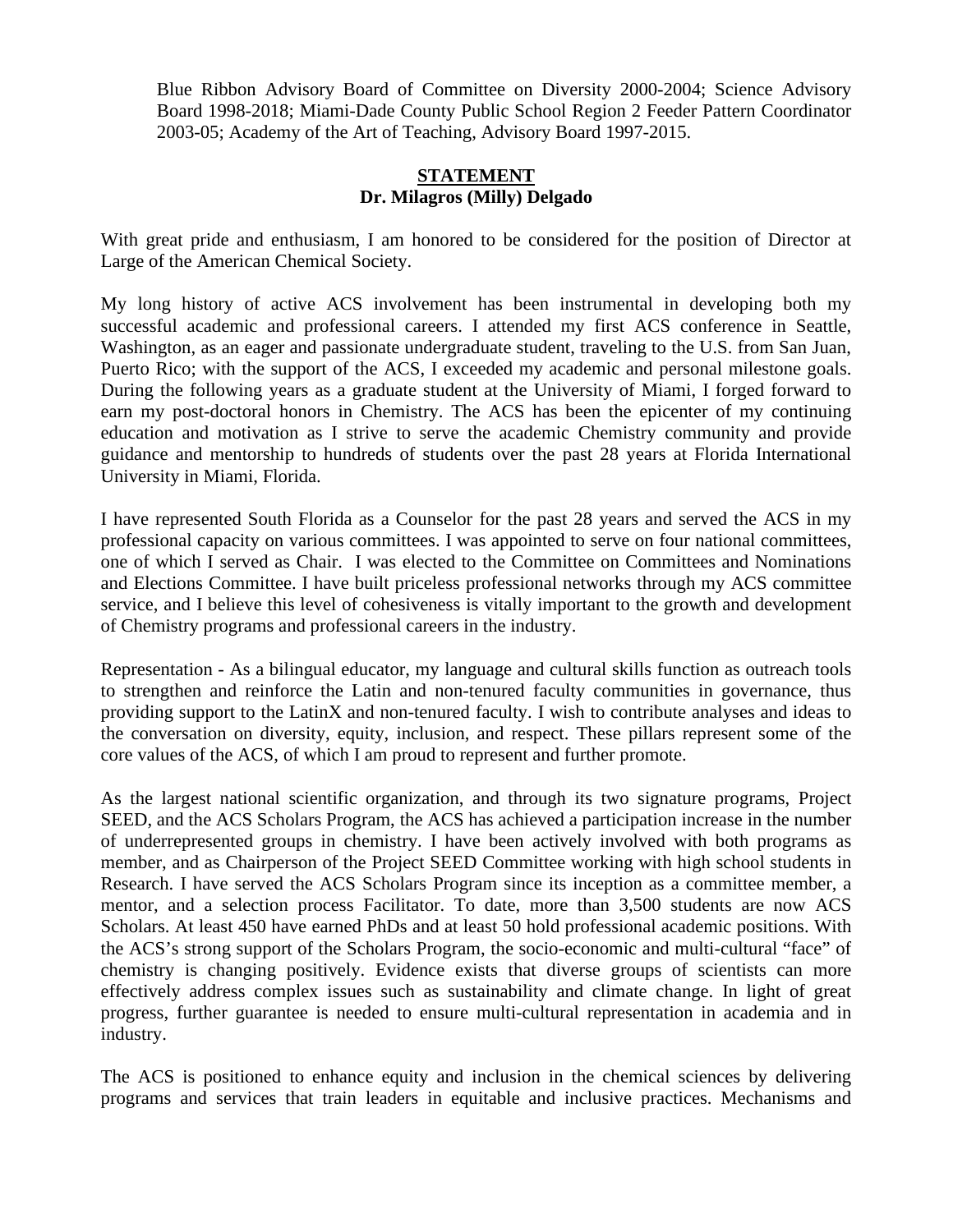Blue Ribbon Advisory Board of Committee on Diversity 2000-2004; Science Advisory Board 1998-2018; Miami-Dade County Public School Region 2 Feeder Pattern Coordinator 2003-05; Academy of the Art of Teaching, Advisory Board 1997-2015.

## **STATEMENT Dr. Milagros (Milly) Delgado**

With great pride and enthusiasm, I am honored to be considered for the position of Director at Large of the American Chemical Society.

My long history of active ACS involvement has been instrumental in developing both my successful academic and professional careers. I attended my first ACS conference in Seattle, Washington, as an eager and passionate undergraduate student, traveling to the U.S. from San Juan, Puerto Rico; with the support of the ACS, I exceeded my academic and personal milestone goals. During the following years as a graduate student at the University of Miami, I forged forward to earn my post-doctoral honors in Chemistry. The ACS has been the epicenter of my continuing education and motivation as I strive to serve the academic Chemistry community and provide guidance and mentorship to hundreds of students over the past 28 years at Florida International University in Miami, Florida.

I have represented South Florida as a Counselor for the past 28 years and served the ACS in my professional capacity on various committees. I was appointed to serve on four national committees, one of which I served as Chair. I was elected to the Committee on Committees and Nominations and Elections Committee. I have built priceless professional networks through my ACS committee service, and I believe this level of cohesiveness is vitally important to the growth and development of Chemistry programs and professional careers in the industry.

Representation - As a bilingual educator, my language and cultural skills function as outreach tools to strengthen and reinforce the Latin and non-tenured faculty communities in governance, thus providing support to the LatinX and non-tenured faculty. I wish to contribute analyses and ideas to the conversation on diversity, equity, inclusion, and respect. These pillars represent some of the core values of the ACS, of which I am proud to represent and further promote.

As the largest national scientific organization, and through its two signature programs, Project SEED, and the ACS Scholars Program, the ACS has achieved a participation increase in the number of underrepresented groups in chemistry. I have been actively involved with both programs as member, and as Chairperson of the Project SEED Committee working with high school students in Research. I have served the ACS Scholars Program since its inception as a committee member, a mentor, and a selection process Facilitator. To date, more than 3,500 students are now ACS Scholars. At least 450 have earned PhDs and at least 50 hold professional academic positions. With the ACS's strong support of the Scholars Program, the socio-economic and multi-cultural "face" of chemistry is changing positively. Evidence exists that diverse groups of scientists can more effectively address complex issues such as sustainability and climate change. In light of great progress, further guarantee is needed to ensure multi-cultural representation in academia and in industry.

The ACS is positioned to enhance equity and inclusion in the chemical sciences by delivering programs and services that train leaders in equitable and inclusive practices. Mechanisms and